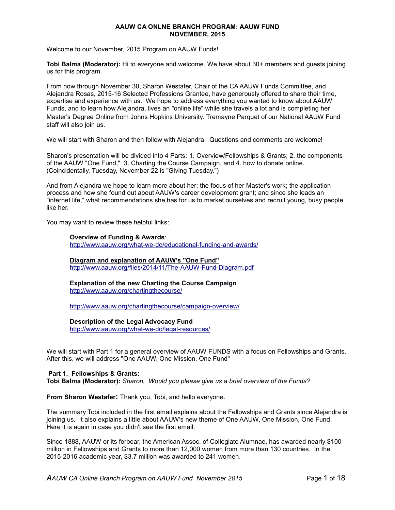#### **AAUW CA ONLNE BRANCH PROGRAM: AAUW FUND NOVEMBER, 2015**

Welcome to our November, 2015 Program on AAUW Funds!

**Tobi Balma (Moderator):** Hi to everyone and welcome. We have about 30+ members and guests joining us for this program.

From now through November 30, Sharon Westafer, Chair of the CA AAUW Funds Committee, and Alejandra Rosas, 2015-16 Selected Professions Grantee, have generously offered to share their time, expertise and experience with us. We hope to address everything you wanted to know about AAUW Funds, and to learn how Alejandra, lives an "online life" while she travels a lot and is completing her Master's Degree Online from Johns Hopkins University. Tremayne Parquet of our National AAUW Fund staff will also join us.

We will start with Sharon and then follow with Alejandra. Questions and comments are welcome!

Sharon's presentation will be divided into 4 Parts: 1. Overview/Fellowships & Grants; 2. the components of the AAUW "One Fund," 3. Charting the Course Campaign, and 4. how to donate online. (Coincidentally, Tuesday, November 22 is "Giving Tuesday.")

And from Alejandra we hope to learn more about her; the focus of her Master's work; the application process and how she found out about AAUW's career development grant; and since she leads an "internet life," what recommendations she has for us to market ourselves and recruit young, busy people like her.

You may want to review these helpful links:

#### **Overview of Funding & Awards**:

http://www.aauw.org/what-we-do/educational-funding-and-awards/

#### **Diagram and explanation of AAUW's "One Fund"**

http://www.aauw.org/files/2014/11/The-AAUW-Fund-Diagram.pdf

#### **Explanation of the new Charting the Course Campaign** http://www.aauw.org/chartingthecourse/

http://www.aauw.org/chartingthecourse/campaign-overview/

## **Description of the Legal Advocacy Fund**

http://www.aauw.org/what-we-do/legal-resources/

We will start with Part 1 for a general overview of AAUW FUNDS with a focus on Fellowships and Grants. After this, we will address "One AAUW, One Mission, One Fund"

#### **Part 1. Fellowships & Grants:**

**Tobi Balma (Moderator):** *Sharon, Would you please give us a brief overview of the Funds?*

**From Sharon Westafer:** Thank you, Tobi, and hello everyone.

The summary Tobi included in the first email explains about the Fellowships and Grants since Alejandra is joining us. It also explains a little about AAUW's new theme of One AAUW, One Mission, One Fund. Here it is again in case you didn't see the first email.

Since 1888, AAUW or its forbear, the American Assoc. of Collegiate Alumnae, has awarded nearly \$100 million in Fellowships and Grants to more than 12,000 women from more than 130 countries. In the 2015-2016 academic year, \$3.7 million was awarded to 241 women.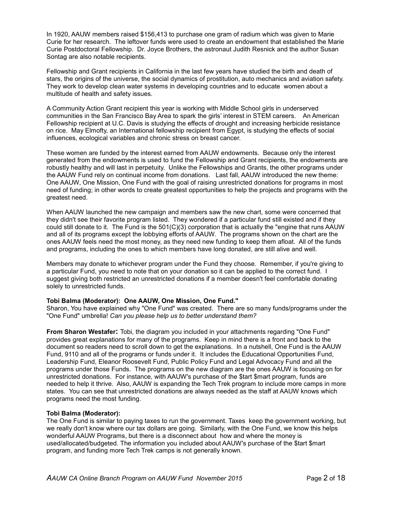In 1920, AAUW members raised \$156,413 to purchase one gram of radium which was given to Marie Curie for her research. The leftover funds were used to create an endowment that established the Marie Curie Postdoctoral Fellowship. Dr. Joyce Brothers, the astronaut Judith Resnick and the author Susan Sontag are also notable recipients.

Fellowship and Grant recipients in California in the last few years have studied the birth and death of stars, the origins of the universe, the social dynamics of prostitution, auto mechanics and aviation safety. They work to develop clean water systems in developing countries and to educate women about a multitude of health and safety issues.

A Community Action Grant recipient this year is working with Middle School girls in underserved communities in the San Francisco Bay Area to spark the girls' interest in STEM careers. An American Fellowship recipient at U.C. Davis is studying the effects of drought and increasing herbicide resistance on rice. May Elmofty, an International fellowship recipient from Egypt, is studying the effects of social influences, ecological variables and chronic stress on breast cancer.

These women are funded by the interest earned from AAUW endowments. Because only the interest generated from the endowments is used to fund the Fellowship and Grant recipients, the endowments are robustly healthy and will last in perpetuity. Unlike the Fellowships and Grants, the other programs under the AAUW Fund rely on continual income from donations. Last fall, AAUW introduced the new theme: One AAUW, One Mission, One Fund with the goal of raising unrestricted donations for programs in most need of funding; in other words to create greatest opportunities to help the projects and programs with the greatest need.

When AAUW launched the new campaign and members saw the new chart, some were concerned that they didn't see their favorite program listed. They wondered if a particular fund still existed and if they could still donate to it. The Fund is the 501(C)(3) corporation that is actually the "engine that runs AAUW and all of its programs except the lobbying efforts of AAUW. The programs shown on the chart are the ones AAUW feels need the most money, as they need new funding to keep them afloat. All of the funds and programs, including the ones to which members have long donated, are still alive and well.

Members may donate to whichever program under the Fund they choose. Remember, if you're giving to a particular Fund, you need to note that on your donation so it can be applied to the correct fund. I suggest giving both restricted an unrestricted donations if a member doesn't feel comfortable donating solely to unrestricted funds.

### **Tobi Balma (Moderator): One AAUW, One Mission, One Fund."**

Sharon, You have explained why "One Fund" was created. There are so many funds/programs under the "One Fund" umbrella! *Can you please help us to better understand them?*

**From Sharon Westafer:** Tobi, the diagram you included in your attachments regarding "One Fund" provides great explanations for many of the programs. Keep in mind there is a front and back to the document so readers need to scroll down to get the explanations. In a nutshell, One Fund is the AAUW Fund, 9110 and all of the programs or funds under it. It includes the Educational Opportunities Fund, Leadership Fund, Eleanor Roosevelt Fund, Public Policy Fund and Legal Advocacy Fund and all the programs under those Funds. The programs on the new diagram are the ones AAUW is focusing on for unrestricted donations. For instance, with AAUW's purchase of the \$tart \$mart program, funds are needed to help it thrive. Also, AAUW is expanding the Tech Trek program to include more camps in more states. You can see that unrestricted donations are always needed as the staff at AAUW knows which programs need the most funding.

### **Tobi Balma (Moderator):**

The One Fund is similar to paying taxes to run the government. Taxes keep the government working, but we really don't know where our tax dollars are going. Similarly, with the One Fund, we know this helps wonderful AAUW Programs, but there is a disconnect about how and where the money is used/allocated/budgeted. The information you included about AAUW's purchase of the \$tart \$mart program, and funding more Tech Trek camps is not generally known.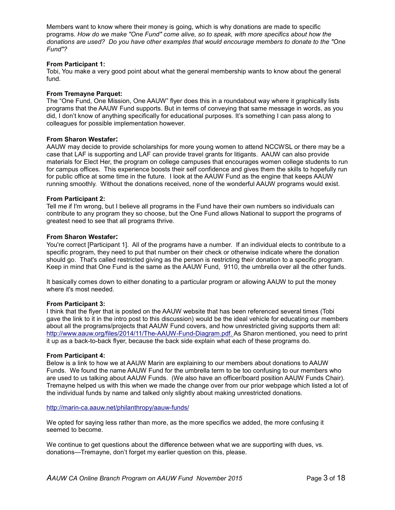Members want to know where their money is going, which is why donations are made to specific programs. *How do we make "One Fund" come alive, so to speak, with more specifics about how the donations are used? Do you have other examples that would encourage members to donate to the "One Fund"?*

### **From Participant 1:**

Tobi, You make a very good point about what the general membership wants to know about the general fund.

#### **From Tremayne Parquet:**

The "One Fund, One Mission, One AAUW" flyer does this in a roundabout way where it graphically lists programs that the AAUW Fund supports. But in terms of conveying that same message in words, as you did, I don't know of anything specifically for educational purposes. It's something I can pass along to colleagues for possible implementation however.

#### **From Sharon Westafer:**

AAUW may decide to provide scholarships for more young women to attend NCCWSL or there may be a case that LAF is supporting and LAF can provide travel grants for litigants. AAUW can also provide materials for Elect Her, the program on college campuses that encourages women college students to run for campus offices. This experience boosts their self confidence and gives them the skills to hopefully run for public office at some time in the future. I look at the AAUW Fund as the engine that keeps AAUW running smoothly. Without the donations received, none of the wonderful AAUW programs would exist.

#### **From Participant 2:**

Tell me if I'm wrong, but I believe all programs in the Fund have their own numbers so individuals can contribute to any program they so choose, but the One Fund allows National to support the programs of greatest need to see that all programs thrive.

#### **From Sharon Westafer:**

You're correct [Participant 1]. All of the programs have a number. If an individual elects to contribute to a specific program, they need to put that number on their check or otherwise indicate where the donation should go. That's called restricted giving as the person is restricting their donation to a specific program. Keep in mind that One Fund is the same as the AAUW Fund, 9110, the umbrella over all the other funds.

It basically comes down to either donating to a particular program or allowing AAUW to put the money where it's most needed.

#### **From Participant 3:**

I think that the flyer that is posted on the AAUW website that has been referenced several times (Tobi gave the link to it in the intro post to this discussion) would be the ideal vehicle for educating our members about all the programs/projects that AAUW Fund covers, and how unrestricted giving supports them all: http://www.aauw.org/files/2014/11/The-AAUW-Fund-Diagram.pdf. As Sharon mentioned, you need to print it up as a back-to-back flyer, because the back side explain what each of these programs do.

#### **From Participant 4:**

Below is a link to how we at AAUW Marin are explaining to our members about donations to AAUW Funds. We found the name AAUW Fund for the umbrella term to be too confusing to our members who are used to us talking about AAUW Funds. (We also have an officer/board position AAUW Funds Chair). Tremayne helped us with this when we made the change over from our prior webpage which listed a lot of the individual funds by name and talked only slightly about making unrestricted donations.

#### http://marin-ca.aauw.net/philanthropy/aauw-funds/

We opted for saying less rather than more, as the more specifics we added, the more confusing it seemed to become.

We continue to get questions about the difference between what we are supporting with dues, vs. donations—Tremayne, don't forget my earlier question on this, please.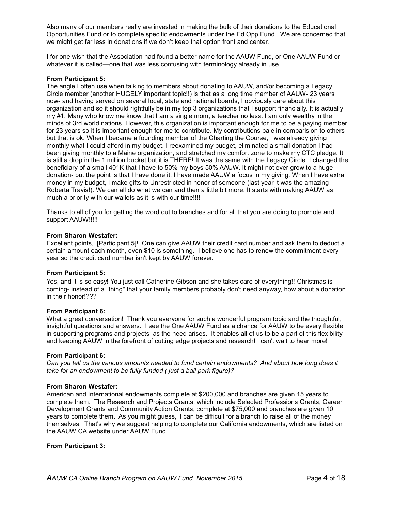Also many of our members really are invested in making the bulk of their donations to the Educational Opportunities Fund or to complete specific endowments under the Ed Opp Fund. We are concerned that we might get far less in donations if we don't keep that option front and center.

I for one wish that the Association had found a better name for the AAUW Fund, or One AAUW Fund or whatever it is called—one that was less confusing with terminology already in use.

#### **From Participant 5:**

The angle I often use when talking to members about donating to AAUW, and/or becoming a Legacy Circle member (another HUGELY important topic!!) is that as a long time member of AAUW- 23 years now- and having served on several local, state and national boards, I obviously care about this organization and so it should rightfully be in my top 3 organizations that I support financially. It is actually my #1. Many who know me know that I am a single mom, a teacher no less. I am only wealthy in the minds of 3rd world nations. However, this organization is important enough for me to be a paying member for 23 years so it is important enough for me to contribute. My contributions pale in comparision to others but that is ok. When I became a founding member of the Charting the Course, I was already giving monthly what I could afford in my budget. I reexamined my budget, eliminated a small donation I had been giving monthly to a Maine organization, and stretched my comfort zone to make my CTC pledge. It is still a drop in the 1 million bucket but it is THERE! It was the same with the Legacy Circle. I changed the beneficiary of a small 401K that I have to 50% my boys 50% AAUW. It might not ever grow to a huge donation- but the point is that I have done it. I have made AAUW a focus in my giving. When I have extra money in my budget, I make gifts to Unrestricted in honor of someone (last year it was the amazing Roberta Travis!). We can all do what we can and then a little bit more. It starts with making AAUW as much a priority with our wallets as it is with our time!!!!

Thanks to all of you for getting the word out to branches and for all that you are doing to promote and support AAUW!!!!!

#### **From Sharon Westafer:**

Excellent points, [Participant 5]! One can give AAUW their credit card number and ask them to deduct a certain amount each month, even \$10 is something. I believe one has to renew the commitment every year so the credit card number isn't kept by AAUW forever.

#### **From Participant 5:**

Yes, and it is so easy! You just call Catherine Gibson and she takes care of everything!! Christmas is coming- instead of a "thing" that your family members probably don't need anyway, how about a donation in their honor!???

#### **From Participant 6:**

What a great conversation! Thank you everyone for such a wonderful program topic and the thoughtful, insightful questions and answers. I see the One AAUW Fund as a chance for AAUW to be every flexible in supporting programs and projects as the need arises. It enables all of us to be a part of this flexibility and keeping AAUW in the forefront of cutting edge projects and research! I can't wait to hear more!

#### **From Participant 6:**

*Can you tell us the various amounts needed to fund certain endowments? And about how long does it take for an endowment to be fully funded ( just a ball park figure)?*

#### **From Sharon Westafer:**

American and International endowments complete at \$200,000 and branches are given 15 years to complete them. The Research and Projects Grants, which include Selected Professions Grants, Career Development Grants and Community Action Grants, complete at \$75,000 and branches are given 10 years to complete them. As you might guess, it can be difficult for a branch to raise all of the money themselves. That's why we suggest helping to complete our California endowments, which are listed on the AAUW CA website under AAUW Fund.

### **From Participant 3:**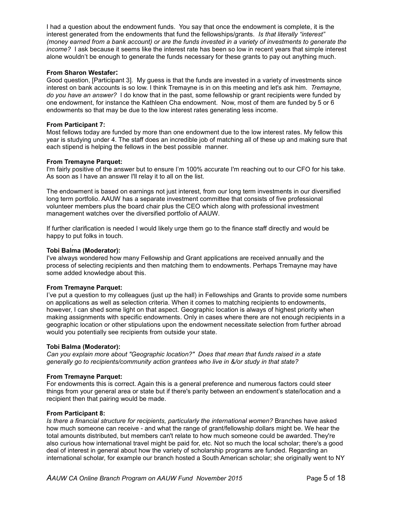I had a question about the endowment funds. You say that once the endowment is complete, it is the interest generated from the endowments that fund the fellowships/grants. *Is that literally "interest" (money earned from a bank account) or are the funds invested in a variety of investments to generate the income?* I ask because it seems like the interest rate has been so low in recent years that simple interest alone wouldn't be enough to generate the funds necessary for these grants to pay out anything much.

### **From Sharon Westafer:**

Good question, [Participant 3]. My guess is that the funds are invested in a variety of investments since interest on bank accounts is so low. I think Tremayne is in on this meeting and let's ask him. *Tremayne, do you have an answer?* I do know that in the past, some fellowship or grant recipients were funded by one endowment, for instance the Kathleen Cha endowment. Now, most of them are funded by 5 or 6 endowments so that may be due to the low interest rates generating less income.

## **From Participant 7:**

Most fellows today are funded by more than one endowment due to the low interest rates. My fellow this year is studying under 4. The staff does an incredible job of matching all of these up and making sure that each stipend is helping the fellows in the best possible manner.

#### **From Tremayne Parquet:**

I'm fairly positive of the answer but to ensure I'm 100% accurate I'm reaching out to our CFO for his take. As soon as I have an answer I'll relay it to all on the list.

The endowment is based on earnings not just interest, from our long term investments in our diversified long term portfolio. AAUW has a separate investment committee that consists of five professional volunteer members plus the board chair plus the CEO which along with professional investment management watches over the diversified portfolio of AAUW.

If further clarification is needed I would likely urge them go to the finance staff directly and would be happy to put folks in touch.

#### **Tobi Balma (Moderator):**

.

I've always wondered how many Fellowship and Grant applications are received annually and the process of selecting recipients and then matching them to endowments. Perhaps Tremayne may have some added knowledge about this.

### **From Tremayne Parquet:**

I've put a question to my colleagues (just up the hall) in Fellowships and Grants to provide some numbers on applications as well as selection criteria. When it comes to matching recipients to endowments, however, I can shed some light on that aspect. Geographic location is always of highest priority when making assignments with specific endowments. Only in cases where there are not enough recipients in a geographic location or other stipulations upon the endowment necessitate selection from further abroad would you potentially see recipients from outside your state.

#### **Tobi Balma (Moderator):**

*Can you explain more about "Geographic location?" Does that mean that funds raised in a state generally go to recipients/community action grantees who live in &/or study in that state?*

### **From Tremayne Parquet:**

For endowments this is correct. Again this is a general preference and numerous factors could steer things from your general area or state but if there's parity between an endowment's state/location and a recipient then that pairing would be made.

#### **From Participant 8:**

*Is there a financial structure for recipients, particularly the international women?* Branches have asked how much someone can receive - and what the range of grant/fellowship dollars might be. We hear the total amounts distributed, but members can't relate to how much someone could be awarded. They're also curious how international travel might be paid for, etc. Not so much the local scholar; there's a good deal of interest in general about how the variety of scholarship programs are funded. Regarding an international scholar, for example our branch hosted a South American scholar; she originally went to NY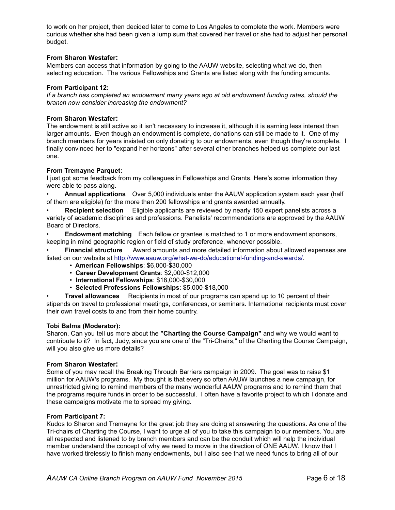to work on her project, then decided later to come to Los Angeles to complete the work. Members were curious whether she had been given a lump sum that covered her travel or she had to adjust her personal budget.

## **From Sharon Westafer:**

Members can access that information by going to the AAUW website, selecting what we do, then selecting education. The various Fellowships and Grants are listed along with the funding amounts.

### **From Participant 12:**

*If a branch has completed an endowment many years ago at old endowment funding rates, should the branch now consider increasing the endowment?*

### **From Sharon Westafer:**

The endowment is still active so it isn't necessary to increase it, although it is earning less interest than larger amounts. Even though an endowment is complete, donations can still be made to it. One of my branch members for years insisted on only donating to our endowments, even though they're complete. I finally convinced her to "expand her horizons" after several other branches helped us complete our last one.

### **From Tremayne Parquet:**

I just got some feedback from my colleagues in Fellowships and Grants. Here's some information they were able to pass along.

- **Annual applications** Over 5,000 individuals enter the AAUW application system each year (half of them are eligible) for the more than 200 fellowships and grants awarded annually.
- **Recipient selection** Eligible applicants are reviewed by nearly 150 expert panelists across a variety of academic disciplines and professions. Panelists' recommendations are approved by the AAUW Board of Directors.

• **Endowment matching** Each fellow or grantee is matched to 1 or more endowment sponsors, keeping in mind geographic region or field of study preference, whenever possible.

• **Financial structure** Award amounts and more detailed information about allowed expenses are listed on our website at http://www.aauw.org/what-we-do/educational-funding-and-awards/.

- **American Fellowships**: \$6,000-\$30,000
- **Career Development Grants**: \$2,000-\$12,000
- **International Fellowships**: \$18,000-\$30,000
- **Selected Professions Fellowships**: \$5,000-\$18,000

• **Travel allowances** Recipients in most of our programs can spend up to 10 percent of their stipends on travel to professional meetings, conferences, or seminars. International recipients must cover their own travel costs to and from their home country.

### **Tobi Balma (Moderator):**

Sharon, Can you tell us more about the **"Charting the Course Campaign"** and why we would want to contribute to it? In fact, Judy, since you are one of the "Tri-Chairs," of the Charting the Course Campaign, will you also give us more details?

### **From Sharon Westafer:**

Some of you may recall the Breaking Through Barriers campaign in 2009. The goal was to raise \$1 million for AAUW's programs. My thought is that every so often AAUW launches a new campaign, for unrestricted giving to remind members of the many wonderful AAUW programs and to remind them that the programs require funds in order to be successful. I often have a favorite project to which I donate and these campaigns motivate me to spread my giving.

### **From Participant 7:**

Kudos to Sharon and Tremayne for the great job they are doing at answering the questions. As one of the Tri-chairs of Charting the Course, I want to urge all of you to take this campaign to our members. You are all respected and listened to by branch members and can be the conduit which will help the individual member understand the concept of why we need to move in the direction of ONE AAUW. I know that I have worked tirelessly to finish many endowments, but I also see that we need funds to bring all of our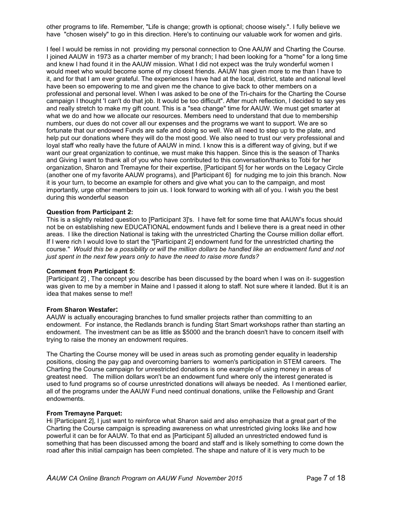other programs to life. Remember, "Life is change; growth is optional; choose wisely.". I fully believe we have "chosen wisely" to go in this direction. Here's to continuing our valuable work for women and girls.

I feel I would be remiss in not providing my personal connection to One AAUW and Charting the Course. I joined AAUW in 1973 as a charter member of my branch; I had been looking for a "home" for a long time and knew I had found it in the AAUW mission. What I did not expect was the truly wonderful women I would meet who would become some of my closest friends. AAUW has given more to me than I have to it, and for that I am ever grateful. The experiences I have had at the local, district, state and national level have been so empowering to me and given me the chance to give back to other members on a professional and personal level. When I was asked to be one of the Tri-chairs for the Charting the Course campaign I thought 'I can't do that job. It would be too difficult". After much reflection, I decided to say yes and really stretch to make my gift count. This is a "sea change" time for AAUW. We must get smarter at what we do and how we allocate our resources. Members need to understand that due to membership numbers, our dues do not cover all our expenses and the programs we want to support. We are so fortunate that our endowed Funds are safe and doing so well. We all need to step up to the plate, and help put our donations where they will do the most good. We also need to trust our very professional and loyal staff who really have the future of AAUW in mind. I know this is a different way of giving, but if we want our great organization to continue, we must make this happen. Since this is the season of Thanks and Giving I want to thank all of you who have contributed to this conversation/thanks to Tobi for her organization, Sharon and Tremayne for their expertise, [Participant 5] for her words on the Legacy Circle (another one of my favorite AAUW programs), and [Participant 6] for nudging me to join this branch. Now it is your turn, to become an example for others and give what you can to the campaign, and most importantly, urge other members to join us. I look forward to working with all of you. I wish you the best during this wonderful season

### **Question from Participant 2:**

This is a slightly related question to [Participant 3]'s. I have felt for some time that AAUW's focus should not be on establishing new EDUCATIONAL endowment funds and I believe there is a great need in other areas. I like the direction National is taking with the unrestricted Charting the Course million dollar effort. If I were rich I would love to start the "[Participant 2] endowment fund for the unrestricted charting the course." *Would this be a possibility or will the million dollars be handled like an endowment fund and not just spent in the next few years only to have the need to raise more funds?*

#### **Comment from Participant 5:**

[Participant 2] , The concept you describe has been discussed by the board when I was on it- suggestion was given to me by a member in Maine and I passed it along to staff. Not sure where it landed. But it is an idea that makes sense to me!!

#### **From Sharon Westafer:**

AAUW is actually encouraging branches to fund smaller projects rather than committing to an endowment. For instance, the Redlands branch is funding Start Smart workshops rather than starting an endowment. The investment can be as little as \$5000 and the branch doesn't have to concern itself with trying to raise the money an endowment requires.

The Charting the Course money will be used in areas such as promoting gender equality in leadership positions, closing the pay gap and overcoming barriers to women's participation in STEM careers. The Charting the Course campaign for unrestricted donations is one example of using money in areas of greatest need. The million dollars won't be an endowment fund where only the interest generated is used to fund programs so of course unrestricted donations will always be needed. As I mentioned earlier, all of the programs under the AAUW Fund need continual donations, unlike the Fellowship and Grant endowments.

#### **From Tremayne Parquet:**

Hi [Participant 2], I just want to reinforce what Sharon said and also emphasize that a great part of the Charting the Course campaign is spreading awareness on what unrestricted giving looks like and how powerful it can be for AAUW. To that end as [Participant 5] alluded an unrestricted endowed fund is something that has been discussed among the board and staff and is likely something to come down the road after this initial campaign has been completed. The shape and nature of it is very much to be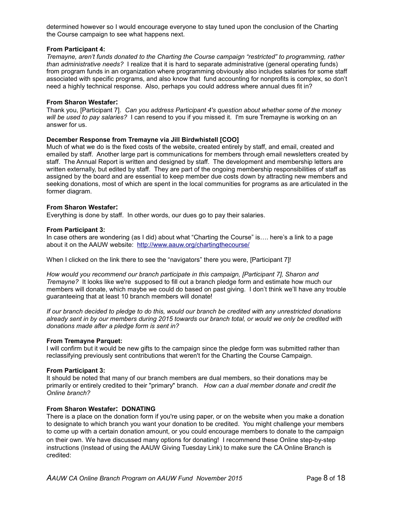determined however so I would encourage everyone to stay tuned upon the conclusion of the Charting the Course campaign to see what happens next.

### **From Participant 4:**

*Tremayne, aren't funds donated to the Charting the Course campaign "restricted" to programming, rather than administrative needs?* I realize that it is hard to separate administrative (general operating funds) from program funds in an organization where programming obviously also includes salaries for some staff associated with specific programs, and also know that fund accounting for nonprofits is complex, so don't need a highly technical response. Also, perhaps you could address where annual dues fit in?

#### **From Sharon Westafer:**

Thank you, [Participant 7]. *Can you address Participant 4's question about whether some of the money will be used to pay salaries?* I can resend to you if you missed it. I'm sure Tremayne is working on an answer for us.

#### **December Response from Tremayne via Jill Birdwhistell [COO]**

Much of what we do is the fixed costs of the website, created entirely by staff, and email, created and emailed by staff. Another large part is communications for members through email newsletters created by staff. The Annual Report is written and designed by staff. The development and membership letters are written externally, but edited by staff. They are part of the ongoing membership responsibilities of staff as assigned by the board and are essential to keep member due costs down by attracting new members and seeking donations, most of which are spent in the local communities for programs as are articulated in the former diagram.

#### **From Sharon Westafer:**

Everything is done by staff. In other words, our dues go to pay their salaries.

#### **From Participant 3:**

In case others are wondering (as I did) about what "Charting the Course" is…. here's a link to a page about it on the AAUW website: http://www.aauw.org/chartingthecourse/

When I clicked on the link there to see the "navigators" there you were, [Participant 7]!

*How would you recommend our branch participate in this campaign, [Participant 7], Sharon and Tremayne?* It looks like we're supposed to fill out a branch pledge form and estimate how much our members will donate, which maybe we could do based on past giving. I don't think we'll have any trouble guaranteeing that at least 10 branch members will donate!

*If our branch decided to pledge to do this, would our branch be credited with any unrestricted donations already sent in by our members during 2015 towards our branch total, or would we only be credited with donations made after a pledge form is sent in?*

#### **From Tremayne Parquet:**

I will confirm but it would be new gifts to the campaign since the pledge form was submitted rather than reclassifying previously sent contributions that weren't for the Charting the Course Campaign.

#### **From Participant 3:**

It should be noted that many of our branch members are dual members, so their donations may be primarily or entirely credited to their "primary" branch. *How can a dual member donate and credit the Online branch?*

### **From Sharon Westafer: DONATING**

There is a place on the donation form if you're using paper, or on the website when you make a donation to designate to which branch you want your donation to be credited. You might challenge your members to come up with a certain donation amount, or you could encourage members to donate to the campaign on their own. We have discussed many options for donating! I recommend these Online step-by-step instructions (Instead of using the AAUW Giving Tuesday Link) to make sure the CA Online Branch is credited: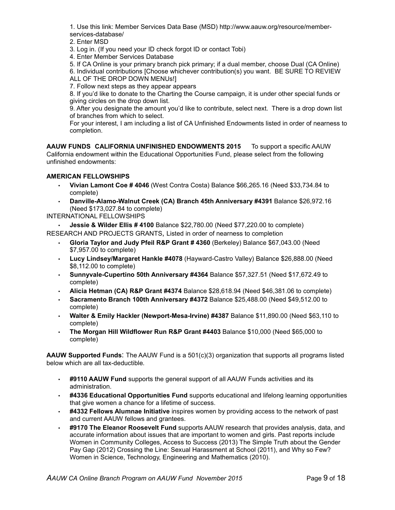1. Use this link: Member Services Data Base (MSD) http://www.aauw.org/resource/memberservices-database/

2. Enter MSD

3. Log in. (If you need your ID check forgot ID or contact Tobi)

4. Enter Member Services Database

5. If CA Online is your primary branch pick primary; if a dual member, choose Dual (CA Online) 6. Individual contributions [Choose whichever contribution(s) you want. BE SURE TO REVIEW ALL OF THE DROP DOWN MENUs!]

7. Follow next steps as they appear appears

8. If you'd like to donate to the Charting the Course campaign, it is under other special funds or giving circles on the drop down list.

9. After you designate the amount you'd like to contribute, select next. There is a drop down list of branches from which to select.

For your interest, I am including a list of CA Unfinished Endowments listed in order of nearness to completion.

**AAUW FUNDS CALIFORNIA UNFINISHED ENDOWMENTS 2015** To support a specific AAUW California endowment within the Educational Opportunities Fund, please select from the following unfinished endowments:

# **AMERICAN FELLOWSHIPS**

- **Vivian Lamont Coe # 4046** (West Contra Costa) Balance \$66,265.16 (Need \$33,734.84 to complete)
- **Danville-Alamo-Walnut Creek (CA) Branch 45th Anniversary #4391** Balance \$26,972.16 (Need \$173,027.84 to complete)

INTERNATIONAL FELLOWSHIPS

• **Jessie & Wilder Ellis # 4100** Balance \$22,780.00 (Need \$77,220.00 to complete) RESEARCH AND PROJECTS GRANTS, Listed in order of nearness to completion

- **Gloria Taylor and Judy Pfeil R&P Grant # 4360** (Berkeley) Balance \$67,043.00 (Need \$7,957.00 to complete)
- **Lucy Lindsey/Margaret Hankle #4078** (Hayward-Castro Valley) Balance \$26,888.00 (Need \$8,112.00 to complete)
- **Sunnyvale-Cupertino 50th Anniversary #4364** Balance \$57,327.51 (Need \$17,672.49 to complete)
- **Alicia Hetman (CA) R&P Grant #4374** Balance \$28,618.94 (Need \$46,381.06 to complete)
- **Sacramento Branch 100th Anniversary #4372** Balance \$25,488.00 (Need \$49,512.00 to complete)
- **Walter & Emily Hackler (Newport-Mesa-Irvine) #4387** Balance \$11,890.00 (Need \$63,110 to complete)
- **The Morgan Hill Wildflower Run R&P Grant #4403** Balance \$10,000 (Need \$65,000 to complete)

**AAUW Supported Funds**: The AAUW Fund is a 501(c)(3) organization that supports all programs listed below which are all tax-deductible.

- **#9110 AAUW Fund** supports the general support of all AAUW Funds activities and its administration.
- **#4336 Educational Opportunities Fund** supports educational and lifelong learning opportunities that give women a chance for a lifetime of success.
- **#4332 Fellows Alumnae Initiative** inspires women by providing access to the network of past and current AAUW fellows and grantees.
- **#9170 The Eleanor Roosevelt Fund** supports AAUW research that provides analysis, data, and accurate information about issues that are important to women and girls. Past reports include Women in Community Colleges, Access to Success (2013) The Simple Truth about the Gender Pay Gap (2012) Crossing the Line: Sexual Harassment at School (2011), and Why so Few? Women in Science, Technology, Engineering and Mathematics (2010).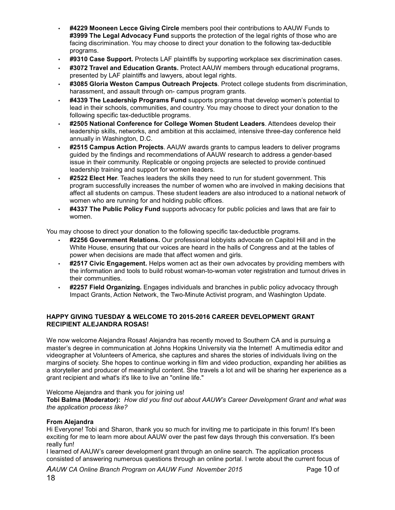- **#4229 Mooneen Lecce Giving Circle** members pool their contributions to AAUW Funds to **#3999 The Legal Advocacy Fund** supports the protection of the legal rights of those who are facing discrimination. You may choose to direct your donation to the following tax-deductible programs.
- **#9310 Case Support.** Protects LAF plaintiffs by supporting workplace sex discrimination cases.
- **#3072 Travel and Education Grants.** Protect AAUW members through educational programs, presented by LAF plaintiffs and lawyers, about legal rights.
- **#3085 Gloria Weston Campus Outreach Projects**. Protect college students from discrimination, harassment, and assault through on- campus program grants.
- **#4339 The Leadership Programs Fund** supports programs that develop women's potential to lead in their schools, communities, and country. You may choose to direct your donation to the following specific tax-deductible programs.
- **#2505 National Conference for College Women Student Leaders**. Attendees develop their leadership skills, networks, and ambition at this acclaimed, intensive three-day conference held annually in Washington, D.C.
- **#2515 Campus Action Projects**. AAUW awards grants to campus leaders to deliver programs guided by the findings and recommendations of AAUW research to address a gender-based issue in their community. Replicable or ongoing projects are selected to provide continued leadership training and support for women leaders.
- **#2522 Elect Her**. Teaches leaders the skills they need to run for student government. This program successfully increases the number of women who are involved in making decisions that affect all students on campus. These student leaders are also introduced to a national network of women who are running for and holding public offices.
- **#4337 The Public Policy Fund** supports advocacy for public policies and laws that are fair to women.

You may choose to direct your donation to the following specific tax-deductible programs.

- **#2256 Government Relations.** Our professional lobbyists advocate on Capitol Hill and in the White House, ensuring that our voices are heard in the halls of Congress and at the tables of power when decisions are made that affect women and girls.
- **#2517 Civic Engagement.** Helps women act as their own advocates by providing members with the information and tools to build robust woman-to-woman voter registration and turnout drives in their communities.
- **#2257 Field Organizing.** Engages individuals and branches in public policy advocacy through Impact Grants, Action Network, the Two-Minute Activist program, and Washington Update.

# **HAPPY GIVING TUESDAY & WELCOME TO 2015-2016 CAREER DEVELOPMENT GRANT RECIPIENT ALEJANDRA ROSAS!**

We now welcome Alejandra Rosas! Alejandra has recently moved to Southern CA and is pursuing a master's degree in communication at Johns Hopkins University via the Internet! A multimedia editor and videographer at Volunteers of America, she captures and shares the stories of individuals living on the margins of society. She hopes to continue working in film and video production, expanding her abilities as a storyteller and producer of meaningful content. She travels a lot and will be sharing her experience as a grant recipient and what's it's like to live an "online life."

### Welcome Alejandra and thank you for joining us!

**Tobi Balma (Moderator):** *How did you find out about AAUW's Career Development Grant and what was the application process like?*

# **From Alejandra**

Hi Everyone! Tobi and Sharon, thank you so much for inviting me to participate in this forum! It's been exciting for me to learn more about AAUW over the past few days through this conversation. It's been really fun!

I learned of AAUW's career development grant through an online search. The application process consisted of answering numerous questions through an online portal. I wrote about the current focus of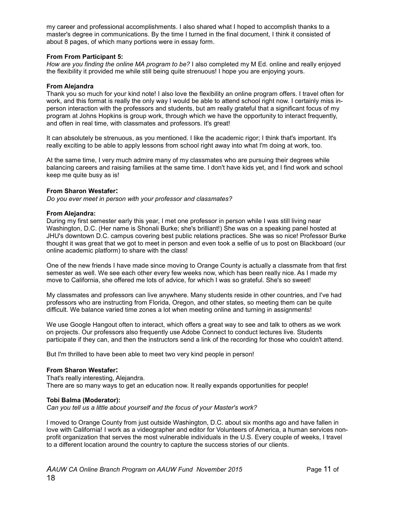my career and professional accomplishments. I also shared what I hoped to accomplish thanks to a master's degree in communications. By the time I turned in the final document, I think it consisted of about 8 pages, of which many portions were in essay form.

## **From From Participant 5:**

*How are you finding the online MA program to be?* I also completed my M Ed. online and really enjoyed the flexibility it provided me while still being quite strenuous! I hope you are enjoying yours.

## **From Alejandra**

Thank you so much for your kind note! I also love the flexibility an online program offers. I travel often for work, and this format is really the only way I would be able to attend school right now. I certainly miss inperson interaction with the professors and students, but am really grateful that a significant focus of my program at Johns Hopkins is group work, through which we have the opportunity to interact frequently, and often in real time, with classmates and professors. It's great!

It can absolutely be strenuous, as you mentioned. I like the academic rigor; I think that's important. It's really exciting to be able to apply lessons from school right away into what I'm doing at work, too.

At the same time, I very much admire many of my classmates who are pursuing their degrees while balancing careers and raising families at the same time. I don't have kids yet, and I find work and school keep me quite busy as is!

# **From Sharon Westafer:**

*Do you ever meet in person with your professor and classmates?*

### **From Alejandra:**

During my first semester early this year, I met one professor in person while I was still living near Washington, D.C. (Her name is Shonali Burke; she's brilliant!) She was on a speaking panel hosted at JHU's downtown D.C. campus covering best public relations practices. She was so nice! Professor Burke thought it was great that we got to meet in person and even took a selfie of us to post on Blackboard (our online academic platform) to share with the class!

One of the new friends I have made since moving to Orange County is actually a classmate from that first semester as well. We see each other every few weeks now, which has been really nice. As I made my move to California, she offered me lots of advice, for which I was so grateful. She's so sweet!

My classmates and professors can live anywhere. Many students reside in other countries, and I've had professors who are instructing from Florida, Oregon, and other states, so meeting them can be quite difficult. We balance varied time zones a lot when meeting online and turning in assignments!

We use Google Hangout often to interact, which offers a great way to see and talk to others as we work on projects. Our professors also frequently use Adobe Connect to conduct lectures live. Students participate if they can, and then the instructors send a link of the recording for those who couldn't attend.

But I'm thrilled to have been able to meet two very kind people in person!

### **From Sharon Westafer:**

That's really interesting, Alejandra. There are so many ways to get an education now. It really expands opportunities for people!

### **Tobi Balma (Moderator):**

*Can you tell us a little about yourself and the focus of your Master's work?*

I moved to Orange County from just outside Washington, D.C. about six months ago and have fallen in love with California! I work as a videographer and editor for Volunteers of America, a human services nonprofit organization that serves the most vulnerable individuals in the U.S. Every couple of weeks, I travel to a different location around the country to capture the success stories of our clients.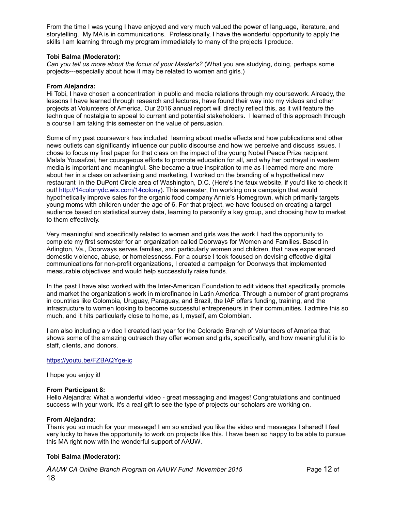From the time I was young I have enjoyed and very much valued the power of language, literature, and storytelling. My MA is in communications. Professionally, I have the wonderful opportunity to apply the skills I am learning through my program immediately to many of the projects I produce.

# **Tobi Balma (Moderator):**

*Can you tell us more about the focus of your Master's?* (What you are studying, doing, perhaps some projects---especially about how it may be related to women and girls.)

#### **From Alejandra:**

Hi Tobi, I have chosen a concentration in public and media relations through my coursework. Already, the lessons I have learned through research and lectures, have found their way into my videos and other projects at Volunteers of America. Our 2016 annual report will directly reflect this, as it will feature the technique of nostalgia to appeal to current and potential stakeholders. I learned of this approach through a course I am taking this semester on the value of persuasion.

Some of my past coursework has included learning about media effects and how publications and other news outlets can significantly influence our public discourse and how we perceive and discuss issues. I chose to focus my final paper for that class on the impact of the young Nobel Peace Prize recipient Malala Yousafzai, her courageous efforts to promote education for all, and why her portrayal in western media is important and meaningful. She became a true inspiration to me as I learned more and more about her in a class on advertising and marketing, I worked on the branding of a hypothetical new restaurant in the DuPont Circle area of Washington, D.C. (Here's the faux website, if you'd like to check it out! http://14colonydc.wix.com/14colony). This semester, I'm working on a campaign that would hypothetically improve sales for the organic food company Annie's Homegrown, which primarily targets young moms with children under the age of 6. For that project, we have focused on creating a target audience based on statistical survey data, learning to personify a key group, and choosing how to market to them effectively.

Very meaningful and specifically related to women and girls was the work I had the opportunity to complete my first semester for an organization called Doorways for Women and Families. Based in Arlington, Va., Doorways serves families, and particularly women and children, that have experienced domestic violence, abuse, or homelessness. For a course I took focused on devising effective digital communications for non-profit organizations, I created a campaign for Doorways that implemented measurable objectives and would help successfully raise funds.

In the past I have also worked with the Inter-American Foundation to edit videos that specifically promote and market the organization's work in microfinance in Latin America. Through a number of grant programs in countries like Colombia, Uruguay, Paraguay, and Brazil, the IAF offers funding, training, and the infrastructure to women looking to become successful entrepreneurs in their communities. I admire this so much, and it hits particularly close to home, as I, myself, am Colombian.

I am also including a video I created last year for the Colorado Branch of Volunteers of America that shows some of the amazing outreach they offer women and girls, specifically, and how meaningful it is to staff, clients, and donors.

### https://youtu.be/FZBAQYge-ic

I hope you enjoy it!

### **From Participant 8:**

Hello Alejandra: What a wonderful video - great messaging and images! Congratulations and continued success with your work. It's a real gift to see the type of projects our scholars are working on.

### **From Alejandra:**

Thank you so much for your message! I am so excited you like the video and messages I shared! I feel very lucky to have the opportunity to work on projects like this. I have been so happy to be able to pursue this MA right now with the wonderful support of AAUW.

# **Tobi Balma (Moderator):**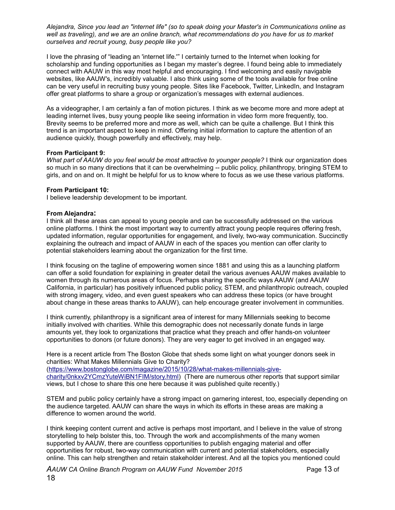*Alejandra, Since you lead an "internet life" (so to speak doing your Master's in Communications online as*  well as traveling), and we are an online branch, what recommendations do you have for us to market *ourselves and recruit young, busy people like you?*

I love the phrasing of "leading an 'internet life.'" I certainly turned to the Internet when looking for scholarship and funding opportunities as I began my master's degree. I found being able to immediately connect with AAUW in this way most helpful and encouraging. I find welcoming and easily navigable websites, like AAUW's, incredibly valuable. I also think using some of the tools available for free online can be very useful in recruiting busy young people. Sites like Facebook, Twitter, LinkedIn, and Instagram offer great platforms to share a group or organization's messages with external audiences.

As a videographer, I am certainly a fan of motion pictures. I think as we become more and more adept at leading internet lives, busy young people like seeing information in video form more frequently, too. Brevity seems to be preferred more and more as well, which can be quite a challenge. But I think this trend is an important aspect to keep in mind. Offering initial information to capture the attention of an audience quickly, though powerfully and effectively, may help.

# **From Participant 9:**

*What part of AAUW do you feel would be most attractive to younger people?* I think our organization does so much in so many directions that it can be overwhelming -- public policy, philanthropy, bringing STEM to girls, and on and on. It might be helpful for us to know where to focus as we use these various platforms.

# **From Participant 10:**

I believe leadership development to be important.

# **From Alejandra:**

I think all these areas can appeal to young people and can be successfully addressed on the various online platforms. I think the most important way to currently attract young people requires offering fresh, updated information, regular opportunities for engagement, and lively, two-way communication. Succinctly explaining the outreach and impact of AAUW in each of the spaces you mention can offer clarity to potential stakeholders learning about the organization for the first time.

I think focusing on the tagline of empowering women since 1881 and using this as a launching platform can offer a solid foundation for explaining in greater detail the various avenues AAUW makes available to women through its numerous areas of focus. Perhaps sharing the specific ways AAUW (and AAUW California, in particular) has positively influenced public policy, STEM, and philanthropic outreach, coupled with strong imagery, video, and even guest speakers who can address these topics (or have brought about change in these areas thanks to AAUW), can help encourage greater involvement in communities.

I think currently, philanthropy is a significant area of interest for many Millennials seeking to become initially involved with charities. While this demographic does not necessarily donate funds in large amounts yet, they look to organizations that practice what they preach and offer hands-on volunteer opportunities to donors (or future donors). They are very eager to get involved in an engaged way.

Here is a recent article from The Boston Globe that sheds some light on what younger donors seek in charities: What Makes Millennials Give to Charity? (https://www.bostonglobe.com/magazine/2015/10/28/what-makes-millennials-givecharity/0nkxv2YCmzYuteWiBN1FIM/story.html) (There are numerous other reports that support similar views, but I chose to share this one here because it was published quite recently.)

STEM and public policy certainly have a strong impact on garnering interest, too, especially depending on the audience targeted. AAUW can share the ways in which its efforts in these areas are making a difference to women around the world.

I think keeping content current and active is perhaps most important, and I believe in the value of strong storytelling to help bolster this, too. Through the work and accomplishments of the many women supported by AAUW, there are countless opportunities to publish engaging material and offer opportunities for robust, two-way communication with current and potential stakeholders, especially online. This can help strengthen and retain stakeholder interest. And all the topics you mentioned could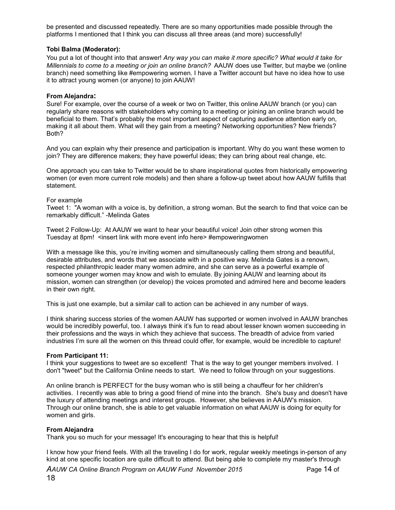be presented and discussed repeatedly. There are so many opportunities made possible through the platforms I mentioned that I think you can discuss all three areas (and more) successfully!

# **Tobi Balma (Moderator):**

You put a lot of thought into that answer! *Any way you can make it more specific? What would it take for Millennials to come to a meeting or join an online branch?* AAUW does use Twitter, but maybe we (online branch) need something like #empowering women. I have a Twitter account but have no idea how to use it to attract young women (or anyone) to join AAUW!

## **From Alejandra:**

Sure! For example, over the course of a week or two on Twitter, this online AAUW branch (or you) can regularly share reasons with stakeholders why coming to a meeting or joining an online branch would be beneficial to them. That's probably the most important aspect of capturing audience attention early on, making it all about them. What will they gain from a meeting? Networking opportunities? New friends? Both?

And you can explain why their presence and participation is important. Why do you want these women to join? They are difference makers; they have powerful ideas; they can bring about real change, etc.

One approach you can take to Twitter would be to share inspirational quotes from historically empowering women (or even more current role models) and then share a follow-up tweet about how AAUW fulfills that statement.

### For example

Tweet 1: "A woman with a voice is, by definition, a strong woman. But the search to find that voice can be remarkably difficult." -Melinda Gates

Tweet 2 Follow-Up: At AAUW we want to hear your beautiful voice! Join other strong women this Tuesday at 8pm! <insert link with more event info here> #empoweringwomen

With a message like this, you're inviting women and simultaneously calling them strong and beautiful, desirable attributes, and words that we associate with in a positive way. Melinda Gates is a renown, respected philanthropic leader many women admire, and she can serve as a powerful example of someone younger women may know and wish to emulate. By joining AAUW and learning about its mission, women can strengthen (or develop) the voices promoted and admired here and become leaders in their own right.

This is just one example, but a similar call to action can be achieved in any number of ways.

I think sharing success stories of the women AAUW has supported or women involved in AAUW branches would be incredibly powerful, too. I always think it's fun to read about lesser known women succeeding in their professions and the ways in which they achieve that success. The breadth of advice from varied industries I'm sure all the women on this thread could offer, for example, would be incredible to capture!

### **From Participant 11:**

I think your suggestions to tweet are so excellent! That is the way to get younger members involved. I don't "tweet" but the California Online needs to start. We need to follow through on your suggestions.

An online branch is PERFECT for the busy woman who is still being a chauffeur for her children's activities. I recently was able to bring a good friend of mine into the branch. She's busy and doesn't have the luxury of attending meetings and interest groups. However, she believes in AAUW's mission. Through our online branch, she is able to get valuable information on what AAUW is doing for equity for women and girls.

# **From Alejandra**

Thank you so much for your message! It's encouraging to hear that this is helpful!

I know how your friend feels. With all the traveling I do for work, regular weekly meetings in-person of any kind at one specific location are quite difficult to attend. But being able to complete my master's through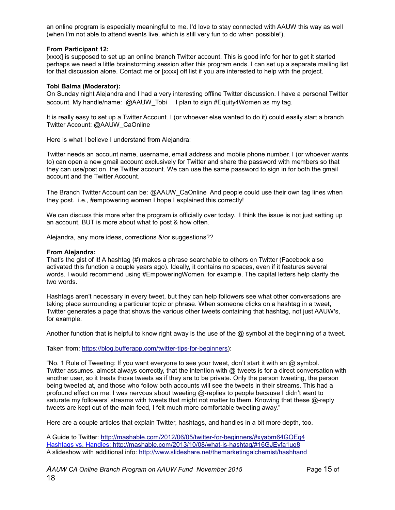an online program is especially meaningful to me. I'd love to stay connected with AAUW this way as well (when I'm not able to attend events live, which is still very fun to do when possible!).

# **From Participant 12:**

[xxxx] is supposed to set up an online branch Twitter account. This is good info for her to get it started perhaps we need a little brainstorming session after this program ends. I can set up a separate mailing list for that discussion alone. Contact me or [xxxx] off list if you are interested to help with the project.

## **Tobi Balma (Moderator):**

On Sunday night Alejandra and I had a very interesting offline Twitter discussion. I have a personal Twitter account. My handle/name: @AAUW\_Tobi I plan to sign #Equity4Women as my tag.

It is really easy to set up a Twitter Account. I (or whoever else wanted to do it) could easily start a branch Twitter Account: @AAUW\_CaOnline

Here is what I believe I understand from Alejandra:

Twitter needs an account name, username, email address and mobile phone number. I (or whoever wants to) can open a new gmail account exclusively for Twitter and share the password with members so that they can use/post on the Twitter account. We can use the same password to sign in for both the gmail account and the Twitter Account.

The Branch Twitter Account can be: @AAUW\_CaOnline And people could use their own tag lines when they post. i.e., #empowering women I hope I explained this correctly!

We can discuss this more after the program is officially over today. I think the issue is not just setting up an account, BUT is more about what to post & how often.

Alejandra, any more ideas, corrections &/or suggestions??

#### **From Alejandra:**

That's the gist of it! A hashtag (#) makes a phrase searchable to others on Twitter (Facebook also activated this function a couple years ago). Ideally, it contains no spaces, even if it features several words. I would recommend using #EmpoweringWomen, for example. The capital letters help clarify the two words.

Hashtags aren't necessary in every tweet, but they can help followers see what other conversations are taking place surrounding a particular topic or phrase. When someone clicks on a hashtag in a tweet, Twitter generates a page that shows the various other tweets containing that hashtag, not just AAUW's, for example.

Another function that is helpful to know right away is the use of the  $@$  symbol at the beginning of a tweet.

Taken from: https://blog.bufferapp.com/twitter-tips-for-beginners):

"No. 1 Rule of Tweeting: If you want everyone to see your tweet, don't start it with an @ symbol. Twitter assumes, almost always correctly, that the intention with  $@$  tweets is for a direct conversation with another user, so it treats those tweets as if they are to be private. Only the person tweeting, the person being tweeted at, and those who follow both accounts will see the tweets in their streams. This had a profound effect on me. I was nervous about tweeting @-replies to people because I didn't want to saturate my followers' streams with tweets that might not matter to them. Knowing that these @-reply tweets are kept out of the main feed, I felt much more comfortable tweeting away."

Here are a couple articles that explain Twitter, hashtags, and handles in a bit more depth, too.

A Guide to Twitter: http://mashable.com/2012/06/05/twitter-for-beginners/#xyabm64GOEq4 Hashtags vs. Handles: http://mashable.com/2013/10/08/what-is-hashtag/#16GJEyfa1uq8 A slideshow with additional info: http://www.slideshare.net/themarketingalchemist/hashhand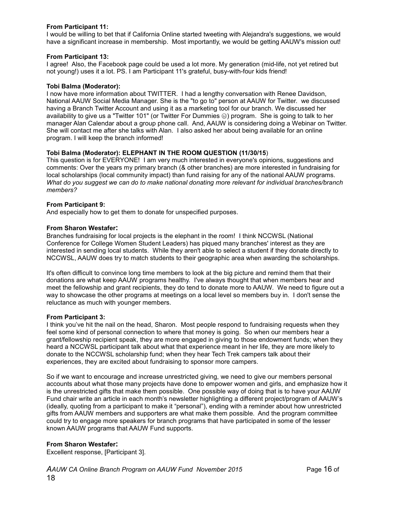# **From Participant 11:**

I would be willing to bet that if California Online started tweeting with Alejandra's suggestions, we would have a significant increase in membership. Most importantly, we would be getting AAUW's mission out!

## **From Participant 13:**

I agree! Also, the Facebook page could be used a lot more. My generation (mid-life, not yet retired but not young!) uses it a lot. PS. I am Participant 11's grateful, busy-with-four kids friend!

### **Tobi Balma (Moderator):**

I now have more information about TWITTER. I had a lengthy conversation with Renee Davidson, National AAUW Social Media Manager. She is the "to go to" person at AAUW for Twitter. we discussed having a Branch Twitter Account and using it as a marketing tool for our branch. We discussed her availability to give us a "Twitter 101" (or Twitter For Dummies ⊜) program. She is going to talk to her manager Alan Calendar about a group phone call. And, AAUW is considering doing a Webinar on Twitter. She will contact me after she talks with Alan. I also asked her about being available for an online program. I will keep the branch informed!

# **Tobi Balma (Moderator): ELEPHANT IN THE ROOM QUESTION (11/30/15**)

This question is for EVERYONE! I am very much interested in everyone's opinions, suggestions and comments: Over the years my primary branch (& other branches) are more interested in fundraising for local scholarships (local community impact) than fund raising for any of the national AAUW programs. *What do you suggest we can do to make national donating more relevant for individual branches/branch members?*

### **From Participant 9:**

And especially how to get them to donate for unspecified purposes.

### **From Sharon Westafer:**

Branches fundraising for local projects is the elephant in the room! I think NCCWSL (National Conference for College Women Student Leaders) has piqued many branches' interest as they are interested in sending local students. While they aren't able to select a student if they donate directly to NCCWSL, AAUW does try to match students to their geographic area when awarding the scholarships.

It's often difficult to convince long time members to look at the big picture and remind them that their donations are what keep AAUW programs healthy. I've always thought that when members hear and meet the fellowship and grant recipients, they do tend to donate more to AAUW. We need to figure out a way to showcase the other programs at meetings on a local level so members buy in. I don't sense the reluctance as much with younger members.

### **From Participant 3:**

I think you've hit the nail on the head, Sharon. Most people respond to fundraising requests when they feel some kind of personal connection to where that money is going. So when our members hear a grant/fellowship recipient speak, they are more engaged in giving to those endowment funds; when they heard a NCCWSL participant talk about what that experience meant in her life, they are more likely to donate to the NCCWSL scholarship fund; when they hear Tech Trek campers talk about their experiences, they are excited about fundraising to sponsor more campers.

So if we want to encourage and increase unrestricted giving, we need to give our members personal accounts about what those many projects have done to empower women and girls, and emphasize how it is the unrestricted gifts that make them possible. One possible way of doing that is to have your AAUW Fund chair write an article in each month's newsletter highlighting a different project/program of AAUW's (ideally, quoting from a participant to make it "personal"), ending with a reminder about how unrestricted gifts from AAUW members and supporters are what make them possible. And the program committee could try to engage more speakers for branch programs that have participated in some of the lesser known AAUW programs that AAUW Fund supports.

### **From Sharon Westafer:**

Excellent response, [Participant 3].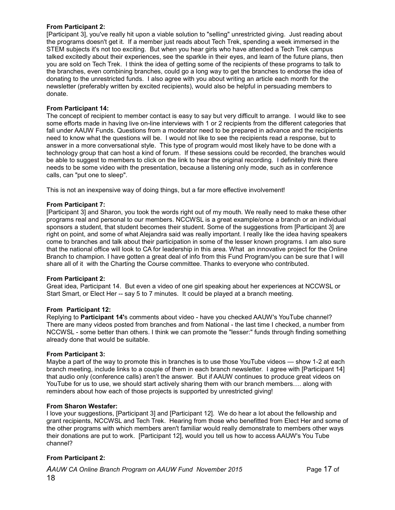# **From Participant 2:**

[Participant 3], you've really hit upon a viable solution to "selling" unrestricted giving. Just reading about the programs doesn't get it. If a member just reads about Tech Trek, spending a week immersed in the STEM subjects it's not too exciting. But when you hear girls who have attended a Tech Trek campus talked excitedly about their experiences, see the sparkle in their eyes, and learn of the future plans, then you are sold on Tech Trek. I think the idea of getting some of the recipients of these programs to talk to the branches, even combining branches, could go a long way to get the branches to endorse the idea of donating to the unrestricted funds. I also agree with you about writing an article each month for the newsletter (preferably written by excited recipients), would also be helpful in persuading members to donate.

# **From Participant 14:**

The concept of recipient to member contact is easy to say but very difficult to arrange. I would like to see some efforts made in having live on-line interviews with 1 or 2 recipients from the different categories that fall under AAUW Funds. Questions from a moderator need to be prepared in advance and the recipients need to know what the questions will be. I would not like to see the recipients read a response, but to answer in a more conversational style. This type of program would most likely have to be done with a technology group that can host a kind of forum. If these sessions could be recorded, the branches would be able to suggest to members to click on the link to hear the original recording. I definitely think there needs to be some video with the presentation, because a listening only mode, such as in conference calls, can "put one to sleep".

This is not an inexpensive way of doing things, but a far more effective involvement!

### **From Participant 7:**

[Participant 3] and Sharon, you took the words right out of my mouth. We really need to make these other programs real and personal to our members. NCCWSL is a great example/once a branch or an individual sponsors a student, that student becomes their student. Some of the suggestions from [Participant 3] are right on point, and some of what Alejandra said was really important. I really like the idea having speakers come to branches and talk about their participation in some of the lesser known programs. I am also sure that the national office will look to CA for leadership in this area. What an innovative project for the Online Branch to champion. I have gotten a great deal of info from this Fund Program/you can be sure that I will share all of it with the Charting the Course committee. Thanks to everyone who contributed.

### **From Participant 2:**

Great idea, Participant 14. But even a video of one girl speaking about her experiences at NCCWSL or Start Smart, or Elect Her -- say 5 to 7 minutes. It could be played at a branch meeting.

### **From Participant 12:**

Replying to **Participant 14'**s comments about video - have you checked AAUW's YouTube channel? There are many videos posted from branches and from National - the last time I checked, a number from NCCWSL - some better than others. I think we can promote the "lesser:" funds through finding something already done that would be suitable.

### **From Participant 3:**

Maybe a part of the way to promote this in branches is to use those YouTube videos — show 1-2 at each branch meeting, include links to a couple of them in each branch newsletter. I agree with [Participant 14] that audio only (conference calls) aren't the answer. But if AAUW continues to produce great videos on YouTube for us to use, we should start actively sharing them with our branch members…. along with reminders about how each of those projects is supported by unrestricted giving!

### **From Sharon Westafer:**

I love your suggestions, [Participant 3] and [Participant 12]. We do hear a lot about the fellowship and grant recipients, NCCWSL and Tech Trek. Hearing from those who benefitted from Elect Her and some of the other programs with which members aren't familiar would really demonstrate to members other ways their donations are put to work. [Participant 12], would you tell us how to access AAUW's You Tube channel?

### **From Participant 2:**